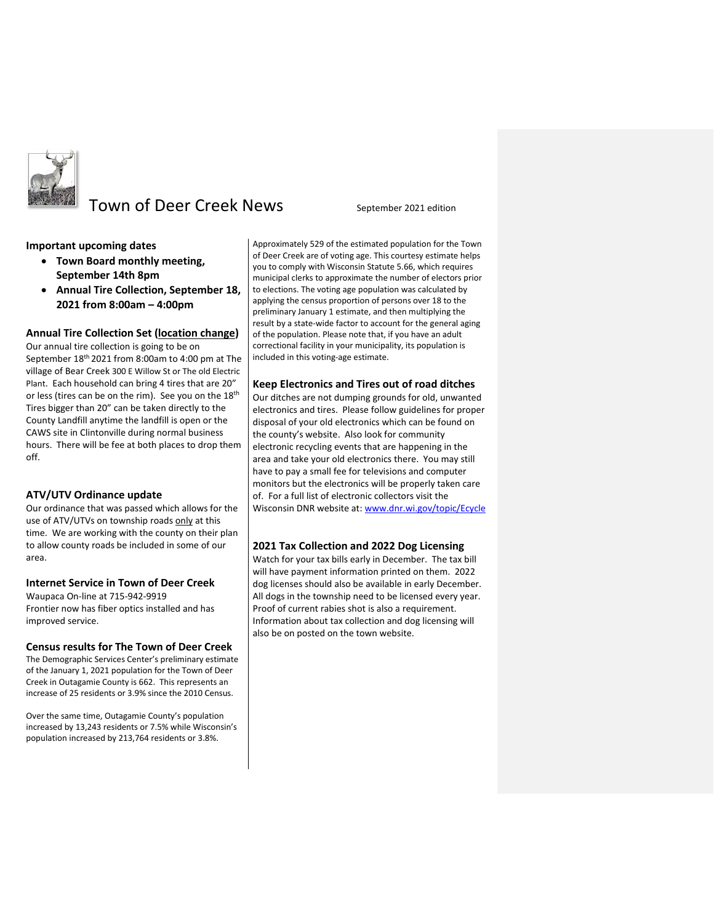

# Town of Deer Creek News September 2021 edition

# **Important upcoming dates**

- **Town Board monthly meeting, September 14th 8pm**
- **Annual Tire Collection, September 18, 2021 from 8:00am – 4:00pm**

# **Annual Tire Collection Set (location change)**

Our annual tire collection is going to be on September 18<sup>th</sup> 2021 from 8:00am to 4:00 pm at The village of Bear Creek 300 E Willow St or The old Electric Plant. Each household can bring 4 tires that are 20" or less (tires can be on the rim). See you on the 18<sup>th</sup> Tires bigger than 20" can be taken directly to the County Landfill anytime the landfill is open or the CAWS site in Clintonville during normal business hours. There will be fee at both places to drop them off.

# **ATV/UTV Ordinance update**

Our ordinance that was passed which allows for the use of ATV/UTVs on township roads only at this time. We are working with the county on their plan to allow county roads be included in some of our area.

# **Internet Service in Town of Deer Creek**

Waupaca On-line at 715-942-9919 Frontier now has fiber optics installed and has improved service.

# **Census results for The Town of Deer Creek**

The Demographic Services Center's preliminary estimate of the January 1, 2021 population for the Town of Deer Creek in Outagamie County is 662. This represents an increase of 25 residents or 3.9% since the 2010 Census.

Over the same time, Outagamie County's population increased by 13,243 residents or 7.5% while Wisconsin's population increased by 213,764 residents or 3.8%.

Approximately 529 of the estimated population for the Town of Deer Creek are of voting age. This courtesy estimate helps you to comply with Wisconsin Statute 5.66, which requires municipal clerks to approximate the number of electors prior to elections. The voting age population was calculated by applying the census proportion of persons over 18 to the preliminary January 1 estimate, and then multiplying the result by a state-wide factor to account for the general aging of the population. Please note that, if you have an adult correctional facility in your municipality, its population is included in this voting-age estimate.

# **Keep Electronics and Tires out of road ditches**

Our ditches are not dumping grounds for old, unwanted electronics and tires. Please follow guidelines for proper disposal of your old electronics which can be found on the county's website. Also look for community electronic recycling events that are happening in the area and take your old electronics there. You may still have to pay a small fee for televisions and computer monitors but the electronics will be properly taken care of. For a full list of electronic collectors visit the Wisconsin DNR website at: [www.dnr.wi.gov/topic/Ecycle](http://www.dnr.wi.gov/topic/Ecycle/)

# **2021 Tax Collection and 2022 Dog Licensing**

Watch for your tax bills early in December. The tax bill will have payment information printed on them. 2022 dog licenses should also be available in early December. All dogs in the township need to be licensed every year. Proof of current rabies shot is also a requirement. Information about tax collection and dog licensing will also be on posted on the town website.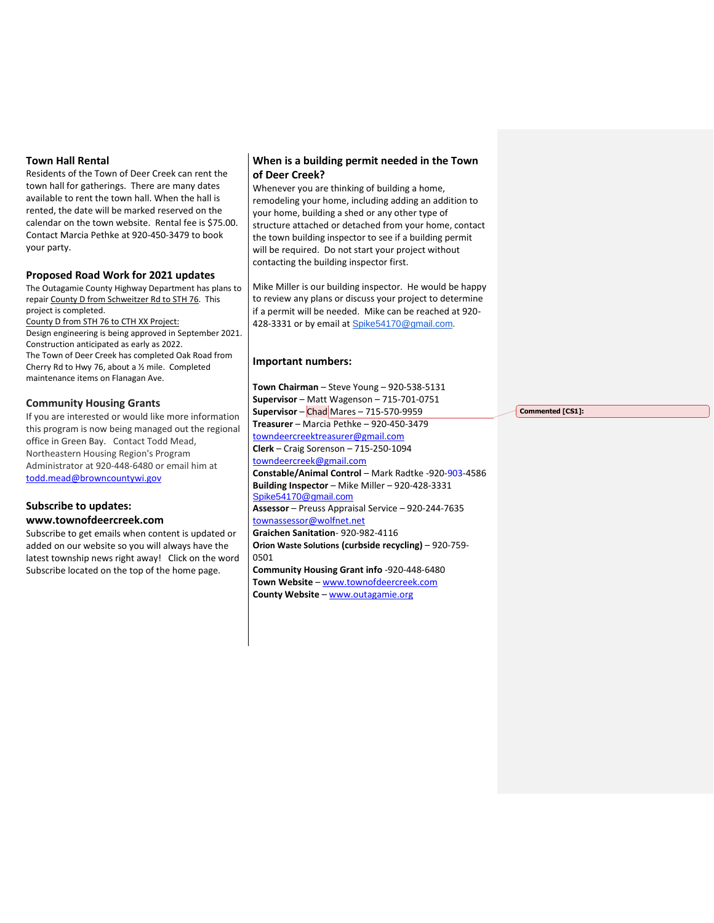# **Town Hall Rental**

Residents of the Town of Deer Creek can rent the town hall for gatherings. There are many dates available to rent the town hall. When the hall is rented, the date will be marked reserved on the calendar on the town website. Rental fee is \$75.00. Contact Marcia Pethke at 920-450-3479 to book your party.

# **Proposed Road Work for 2021 updates**

The Outagamie County Highway Department has plans to repair County D from Schweitzer Rd to STH 76. This project is completed. County D from STH 76 to CTH XX Project: Design engineering is being approved in September 2021. Construction anticipated as early as 2022.

The Town of Deer Creek has completed Oak Road from Cherry Rd to Hwy 76, about a ½ mile. Completed maintenance items on Flanagan Ave.

#### **Community Housing Grants**

If you are interested or would like more information this program is now being managed out the regional office in Green Bay. Contact Todd Mead, Northeastern Housing Region's Program Administrator at 920-448-6480 or email him at [todd.mead@browncountywi.gov](mailto:todd.mead@browncountywi.gov)

#### **Subscribe to updates: www.townofdeercreek.com**

Subscribe to get emails when content is updated or added on our website so you will always have the latest township news right away! Click on the word Subscribe located on the top of the home page.

# **When is a building permit needed in the Town of Deer Creek?**

Whenever you are thinking of building a home, remodeling your home, including adding an addition to your home, building a shed or any other type of structure attached or detached from your home, contact the town building inspector to see if a building permit will be required. Do not start your project without contacting the building inspector first.

Mike Miller is our building inspector. He would be happy to review any plans or discuss your project to determine if a permit will be needed. Mike can be reached at 920- 428-3331 or by email at [Spike54170@gmail.com.](mailto:Spike54170@gmail.com)

# **Important numbers:**

**Town Chairman** – Steve Young – 920-538-5131 **Supervisor** – Matt Wagenson – 715-701-0751 **Supervisor** – Chad Mares – 715-570-9959 **Treasurer** – Marcia Pethke – 920-450-3479 [towndeercreektreasurer@gmail.com](mailto:towndeercreektreasurer@gmail.com) **Clerk** – Craig Sorenson – 715-250-1094 [towndeercreek@gmail.com](mailto:towndeercreek@gmail.com) **Constable/Animal Control** – Mark Radtke -920-903-4586 **Building Inspector** – Mike Miller – 920-428-3331 [Spike54170@gmail.com](mailto:Spike54170@gmail.com) **Assessor** – Preuss Appraisal Service – 920-244-7635 townassessor@wolfnet.net **Graichen Sanitation**- 920-982-4116 **Orion Waste Solutions (curbside recycling)** – 920-759- 0501 **Community Housing Grant info** -920-448-6480 **Town Website** – [www.townofdeercreek.com](http://www.townofdeercreek.com/)

**County Website** – [www.outagamie.org](http://www.outagamie.org/)

**Commented [CS1]:**